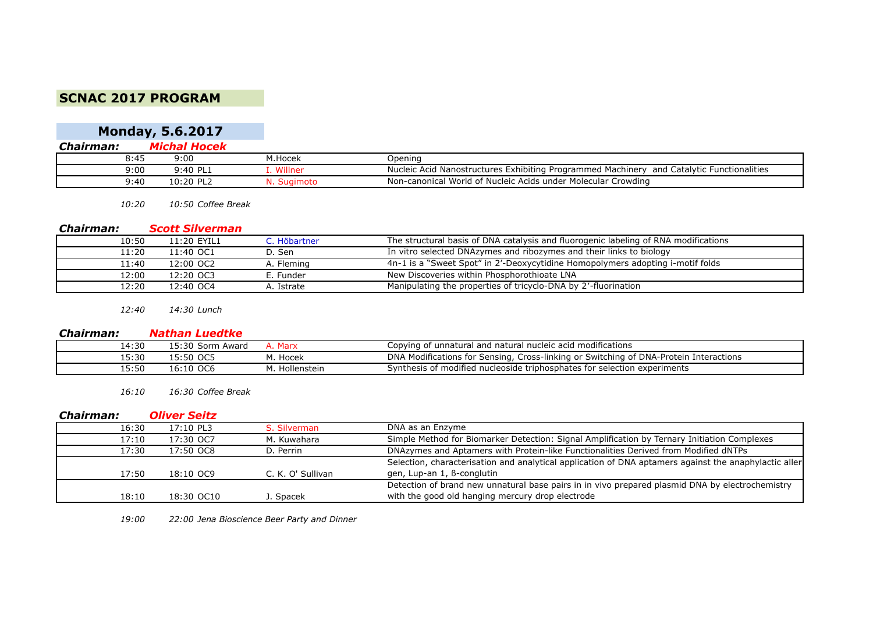## **SCNAC 2017 PROGRAM**

|           | <b>Monday, 5.6.2017</b> |  |
|-----------|-------------------------|--|
| Chairman: | Michal Hocek            |  |

| 8.45 | 9:00                  | M.Hocek | Opening                                                                                                     |
|------|-----------------------|---------|-------------------------------------------------------------------------------------------------------------|
| 9:00 | 9:40 PL1              | Willner | and Catalytic Functionalities<br>d Nanostructures Exhibiting Programmed Machinery<br><b>Nucleic</b><br>Acid |
| 9:40 | ∶ום חכיו<br>u.zu<br>ᅩ |         | Non-canonical World of Nucleic Acids under Molecular Crowding                                               |

*10:20 10:50 Coffee Break*

#### *Chairman: Scott Silverman*

| 10:50 | 11:20 EYIL1 | C. Höbartner | The structural basis of DNA catalysis and fluorogenic labeling of RNA modifications |
|-------|-------------|--------------|-------------------------------------------------------------------------------------|
| 11:20 | 11:40 OC1   | D. Sen       | In vitro selected DNAzymes and ribozymes and their links to biology                 |
| 11:40 | 12:00 OC2   | A. Fleming   | 4n-1 is a "Sweet Spot" in 2'-Deoxycytidine Homopolymers adopting i-motif folds      |
| 12:00 | 12:20 OC3   | E. Funder    | New Discoveries within Phosphorothioate LNA                                         |
| 12:20 | 12:40 OC4   | A. Istrate   | Manipulating the properties of tricyclo-DNA by 2'-fluorination                      |

*12:40 14:30 Lunch*

### *Chairman: Nathan Luedtke*

| 14:30 | L5:30<br>Sorm<br>Award        | Marx !      | `ifications<br>$m \wedge c$<br>Copyin <sub>'</sub><br>! nucleic acid n.<br>unnatura'<br>. and<br>1 natura.<br>∵ O1<br>,,,,               |
|-------|-------------------------------|-------------|------------------------------------------------------------------------------------------------------------------------------------------|
| 15:30 | $\sim$<br>15:50<br>ັບພ        | Hocek       | DN/<br>⊧of DNA-<br>Protein<br>Interactions<br>Cross-linking or<br>Switching<br>Sensing,<br>fications for<br>$\sim$ $\sim$ $\sim$<br>V(G) |
| 50:د۔ | $\sim$<br>.6:10<br><b>ULF</b> | Hollenstein | f modified nucleoside triphosphates for selection.<br>experiments<br>-vnthesiبر<br>55 D.                                                 |

*16:10 16:30 Coffee Break*

#### *Chairman: Oliver Seitz*

| 16:30 | 17:10 PL3  | S. Silverman      | DNA as an Enzyme                                                                                      |
|-------|------------|-------------------|-------------------------------------------------------------------------------------------------------|
| 17:10 | 17:30 OC7  | M. Kuwahara       | Simple Method for Biomarker Detection: Signal Amplification by Ternary Initiation Complexes           |
| 17:30 | 17:50 OC8  | D. Perrin         | DNAzymes and Aptamers with Protein-like Functionalities Derived from Modified dNTPs                   |
|       |            |                   | Selection, characterisation and analytical application of DNA aptamers against the anaphylactic aller |
| 17:50 | 18:10 OC9  | C. K. O' Sullivan | gen, Lup-an 1, B-conglutin                                                                            |
|       |            |                   | Detection of brand new unnatural base pairs in in vivo prepared plasmid DNA by electrochemistry       |
| 18:10 | 18:30 OC10 | J. Spacek         | with the good old hanging mercury drop electrode                                                      |

*19:00 22:00 Jena Bioscience Beer Party and Dinner*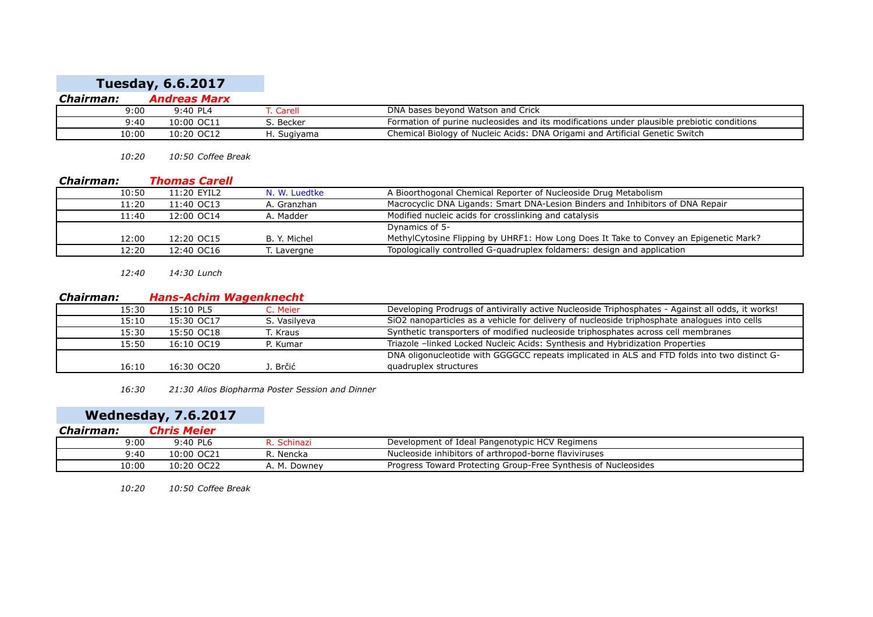# **Tuesday, 6.6.2017**

| Chairman: | Andreas Marx |             |                                                                                            |
|-----------|--------------|-------------|--------------------------------------------------------------------------------------------|
| 9:00      | $9:40$ PL4   | . Carell    | DNA bases bevond Watson and Crick                                                          |
| 9:40      | 10:00 OC11   | ີ Becker    | Formation of purine nucleosides and its modifications under plausible prebiotic conditions |
| !0:00     | 10:20 OC12   | d. Sugiyama | Chemical Biology of Nucleic Acids: DNA Origami and Artificial Genetic Switch               |

*10:20 10:50 Coffee Break*

#### *Chairman: Thomas Carell*

| 10:50 | 11:20 EYIL2 | N. W. Luedtke | A Bioorthogonal Chemical Reporter of Nucleoside Drug Metabolism                       |
|-------|-------------|---------------|---------------------------------------------------------------------------------------|
| 11:20 | 11:40 OC13  | A. Granzhan   | Macrocyclic DNA Ligands: Smart DNA-Lesion Binders and Inhibitors of DNA Repair        |
| 11:40 | 12:00 OC14  | A. Madder     | Modified nucleic acids for crosslinking and catalysis                                 |
|       |             |               | Dynamics of 5-                                                                        |
| 12:00 | 12:20 OC15  | B. Y. Michel  | MethylCytosine Flipping by UHRF1: How Long Does It Take to Convey an Epigenetic Mark? |
| 12:20 | 12:40 OC16  | T. Lavergne   | Topologically controlled G-quadruplex foldamers: design and application               |

*12:40 14:30 Lunch*

#### *Chairman: Hans-Achim Wagenknecht*

| 15:30 | 15:10 PL5  | C. Meier     | Developing Prodrugs of antivirally active Nucleoside Triphosphates - Against all odds, it works! |
|-------|------------|--------------|--------------------------------------------------------------------------------------------------|
| 15:10 | 15:30 OC17 | S. Vasilveva | SiO2 nanoparticles as a vehicle for delivery of nucleoside triphosphate analogues into cells     |
| 15:30 | 15:50 OC18 | T. Kraus     | Synthetic transporters of modified nucleoside triphosphates across cell membranes                |
| 15:50 | 16:10 OC19 | P. Kumar     | Triazole -linked Locked Nucleic Acids: Synthesis and Hybridization Properties                    |
|       |            |              | DNA oligonucleotide with GGGGCC repeats implicated in ALS and FTD folds into two distinct G-     |
| 16:10 | 16:30 OC20 | . Brčić      | quadruplex structures                                                                            |

*16:30 21:30 Alios Biopharma Poster Session and Dinner*

# **Wednesday, 7.6.2017**

| Chairman: | <i><b>Chris Meier</b></i> |             |                                                                |
|-----------|---------------------------|-------------|----------------------------------------------------------------|
| 9:00      | $9:40$ PL6                | Schinazi    | Development of Ideal Pangenotypic HCV Regimens                 |
| 9:40      | 10:00 OC21                | R. Nencka   | Nucleoside inhibitors of arthropod-borne flaviviruses          |
| 10:00     | 10:20 OC22                | . M. Downey | Progress Toward Protecting Group-Free Synthesis of Nucleosides |

*10:20 10:50 Coffee Break*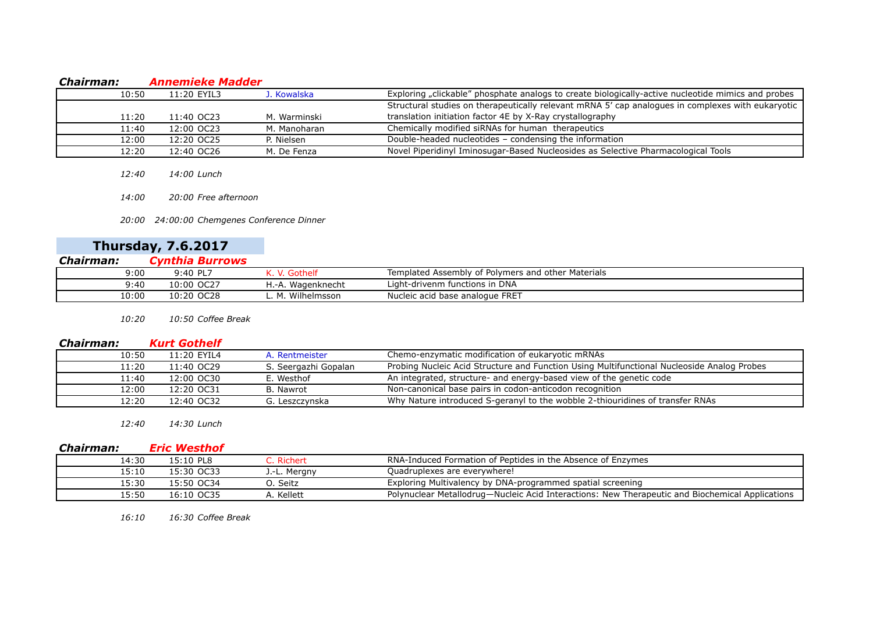#### *Chairman: Annemieke Madder*

| 10:50 | 11:20 EYIL3 | J. Kowalska  | Exploring "clickable" phosphate analogs to create biologically-active nucleotide mimics and probes |
|-------|-------------|--------------|----------------------------------------------------------------------------------------------------|
|       |             |              | Structural studies on therapeutically relevant mRNA 5' cap analogues in complexes with eukaryotic  |
| 11:20 | 11:40 OC23  | M. Warminski | translation initiation factor 4E by X-Ray crystallography                                          |
| 11:40 | 12:00 OC23  | M. Manoharan | Chemically modified siRNAs for human therapeutics                                                  |
| 12:00 | 12:20 OC25  | P. Nielsen   | Double-headed nucleotides - condensing the information                                             |
| 12:20 | 12:40 OC26  | M. De Fenza  | Novel Piperidinyl Iminosugar-Based Nucleosides as Selective Pharmacological Tools                  |

- *12:40 14:00 Lunch*
- *14:00 20:00 Free afternoon*

*20:00 24:00:00 Chemgenes Conference Dinner*

|           | <b>Thursday, 7.6.2017</b> |
|-----------|---------------------------|
| Chairman: | Cynthia Burrows           |

| -------------- |                           |                   |                                                    |  |
|----------------|---------------------------|-------------------|----------------------------------------------------|--|
| 9:00           | $9:40$ PL $^{-}$          |                   | Templated Assembly of Polymers and other Materials |  |
| 9:40           | OC <sub>27</sub><br>.0:00 | H.-A. Wagenknecht | Light-drivenm functions in DNA                     |  |
| 10:00          | 10:20<br>OC <sub>28</sub> | Wilhelmsson       | Nucleic acid base analogue FRET                    |  |

*10:20 10:50 Coffee Break*

#### *Chairman: Kurt Gothelf*

| 10:50 | 11:20 EYIL4 | A. Rentmeister       | Chemo-enzymatic modification of eukaryotic mRNAs                                           |
|-------|-------------|----------------------|--------------------------------------------------------------------------------------------|
| 11:20 | 11:40 OC29  | S. Seergazhi Gopalan | Probing Nucleic Acid Structure and Function Using Multifunctional Nucleoside Analog Probes |
| 11:40 | 12:00 OC30  | E. Westhof           | An integrated, structure- and energy-based view of the genetic code                        |
| 12:00 | 12:20 OC31  | B. Nawrot            | Non-canonical base pairs in codon-anticodon recognition                                    |
| 12:20 | 12:40 OC32  | G. Leszczvnska       | Why Nature introduced S-geranyl to the wobble 2-thiouridines of transfer RNAs              |

*12:40 14:30 Lunch*

| Chairman: | <b>Eric Westhof</b> |              |                                                                                                 |
|-----------|---------------------|--------------|-------------------------------------------------------------------------------------------------|
| 14:30     | 15:10 PL8           | C. Richert   | RNA-Induced Formation of Peptides in the Absence of Enzymes                                     |
| 15:10     | 15:30 OC33          | J.-L. Mergny | Quadruplexes are everywhere!                                                                    |
| 15:30     | 15:50 OC34          | O. Seitz     | Exploring Multivalency by DNA-programmed spatial screening                                      |
| 15:50     | 16:10 OC35          | A. Kellett   | Polynuclear Metallodrug—Nucleic Acid Interactions: New Therapeutic and Biochemical Applications |

*16:10 16:30 Coffee Break*